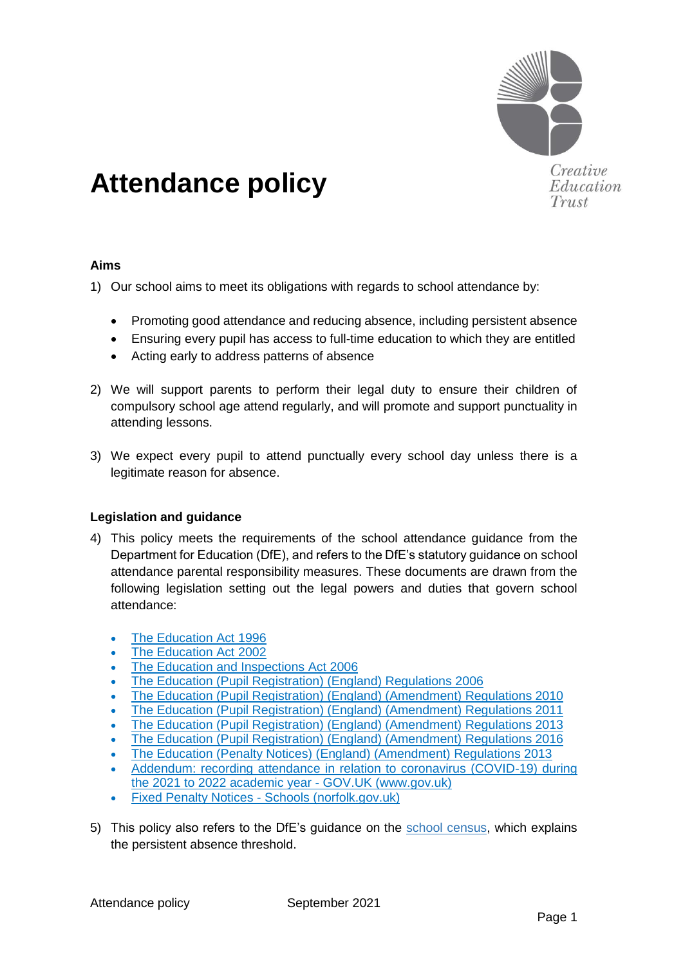

Creative Education Trust

# **Attendance policy**

## **Aims**

1) Our school aims to meet its obligations with regards to school attendance by:

- Promoting good attendance and reducing absence, including persistent absence
- Ensuring every pupil has access to full-time education to which they are entitled
- Acting early to address patterns of absence
- 2) We will support parents to perform their legal duty to ensure their children of compulsory school age attend regularly, and will promote and support punctuality in attending lessons.
- 3) We expect every pupil to attend punctually every school day unless there is a legitimate reason for absence.

## **Legislation and guidance**

- 4) This policy meets the requirements of the [school attendance guidance](https://www.gov.uk/government/publications/school-attendance) from the Department for Education (DfE), and refers to the DfE's statutory guidance on [school](https://www.gov.uk/government/publications/parental-responsibility-measures-for-behaviour-and-attendance)  [attendance parental responsibility measures.](https://www.gov.uk/government/publications/parental-responsibility-measures-for-behaviour-and-attendance) These documents are drawn from the following legislation setting out the legal powers and duties that govern school attendance:
	- [The Education Act 1996](https://www.legislation.gov.uk/ukpga/1996/56/part/VI/chapter/II)
	- [The Education Act 2002](http://www.legislation.gov.uk/ukpga/2002/32/part/3/chapter/3)
	- [The Education and Inspections Act 2006](http://www.legislation.gov.uk/ukpga/2006/40/part/7/chapter/2/crossheading/school-attendance)
	- [The Education \(Pupil Registration\) \(England\) Regulations 2006](http://www.legislation.gov.uk/uksi/2006/1751/contents/made)
	- [The Education \(Pupil Registration\) \(England\) \(Amendment\) Regulations 2010](http://www.centralbedfordshire.gov.uk/Images/amendment-regulation-2010_tcm3-8642.pdf)
	- [The Education \(Pupil Registration\) \(England\) \(Amendment\) Regulations 2011](http://www.legislation.gov.uk/uksi/2011/1625/made)
	- [The Education \(Pupil Registration\) \(England\) \(Amendment\) Regulations 2013](http://www.legislation.gov.uk/uksi/2013/756/made)
	- [The Education \(Pupil Registration\) \(England\) \(Amendment\) Regulations 2016](http://legislation.data.gov.uk/uksi/2016/792/made/data.html)
	- [The Education \(Penalty Notices\) \(England\) \(Amendment\) Regulations 2013](http://www.legislation.gov.uk/uksi/2013/756/pdfs/uksiem_20130756_en.pdf)
	- [Addendum: recording attendance in relation to coronavirus \(COVID-19\) during](https://www.gov.uk/government/publications/school-attendance/addendum-recording-attendance-in-relation-to-coronavirus-covid-19-during-the-2021-to-2022-academic-year)  [the 2021 to 2022 academic year -](https://www.gov.uk/government/publications/school-attendance/addendum-recording-attendance-in-relation-to-coronavirus-covid-19-during-the-2021-to-2022-academic-year) GOV.UK (www.gov.uk)
	- **Fixed Penalty Notices [Schools \(norfolk.gov.uk\)](https://www.schools.norfolk.gov.uk/pupil-safety-and-behaviour/school-attendance/fixed-penalty-notices)**
- 5) This policy also refers to the DfE's guidance on the [school census,](https://www.gov.uk/government/publications/school-census-2017-to-2018-guide-for-schools-and-las) which explains the persistent absence threshold.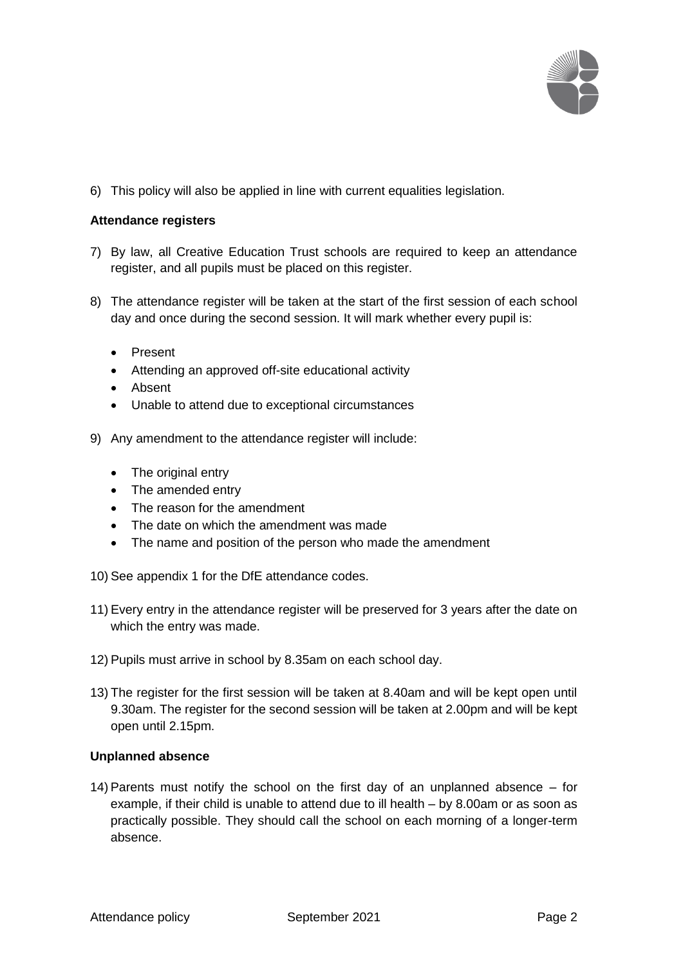

6) This policy will also be applied in line with current equalities legislation.

## **Attendance registers**

- 7) By law, all Creative Education Trust schools are required to keep an attendance register, and all pupils must be placed on this register.
- 8) The attendance register will be taken at the start of the first session of each school day and once during the second session. It will mark whether every pupil is:
	- Present
	- Attending an approved off-site educational activity
	- Absent
	- Unable to attend due to exceptional circumstances
- 9) Any amendment to the attendance register will include:
	- The original entry
	- The amended entry
	- The reason for the amendment
	- The date on which the amendment was made
	- The name and position of the person who made the amendment
- 10) See appendix 1 for the DfE attendance codes.
- 11) Every entry in the attendance register will be preserved for 3 years after the date on which the entry was made.
- 12) Pupils must arrive in school by 8.35am on each school day.
- 13) The register for the first session will be taken at 8.40am and will be kept open until 9.30am. The register for the second session will be taken at 2.00pm and will be kept open until 2.15pm.

## **Unplanned absence**

14) Parents must notify the school on the first day of an unplanned absence – for example, if their child is unable to attend due to ill health – by 8.00am or as soon as practically possible. They should call the school on each morning of a longer-term absence.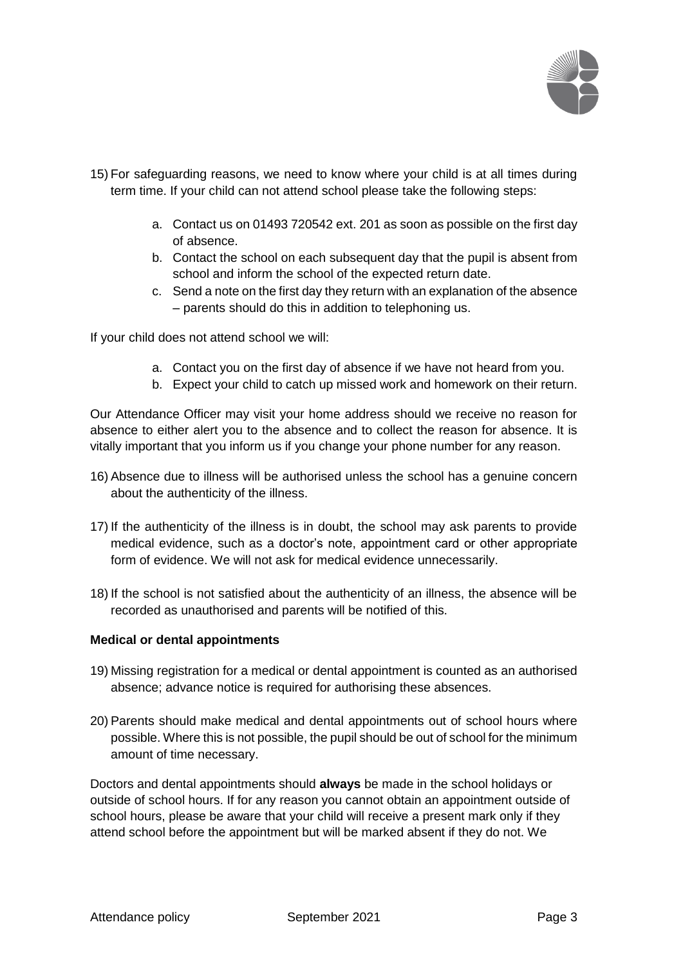

- 15) For safeguarding reasons, we need to know where your child is at all times during term time. If your child can not attend school please take the following steps:
	- a. Contact us on 01493 720542 ext. 201 as soon as possible on the first day of absence.
	- b. Contact the school on each subsequent day that the pupil is absent from school and inform the school of the expected return date.
	- c. Send a note on the first day they return with an explanation of the absence – parents should do this in addition to telephoning us.

If your child does not attend school we will:

- a. Contact you on the first day of absence if we have not heard from you.
- b. Expect your child to catch up missed work and homework on their return.

Our Attendance Officer may visit your home address should we receive no reason for absence to either alert you to the absence and to collect the reason for absence. It is vitally important that you inform us if you change your phone number for any reason.

- 16) Absence due to illness will be authorised unless the school has a genuine concern about the authenticity of the illness.
- 17) If the authenticity of the illness is in doubt, the school may ask parents to provide medical evidence, such as a doctor's note, appointment card or other appropriate form of evidence. We will not ask for medical evidence unnecessarily.
- 18) If the school is not satisfied about the authenticity of an illness, the absence will be recorded as unauthorised and parents will be notified of this.

#### **Medical or dental appointments**

- 19) Missing registration for a medical or dental appointment is counted as an authorised absence; advance notice is required for authorising these absences.
- 20) Parents should make medical and dental appointments out of school hours where possible. Where this is not possible, the pupil should be out of school for the minimum amount of time necessary.

Doctors and dental appointments should **always** be made in the school holidays or outside of school hours. If for any reason you cannot obtain an appointment outside of school hours, please be aware that your child will receive a present mark only if they attend school before the appointment but will be marked absent if they do not. We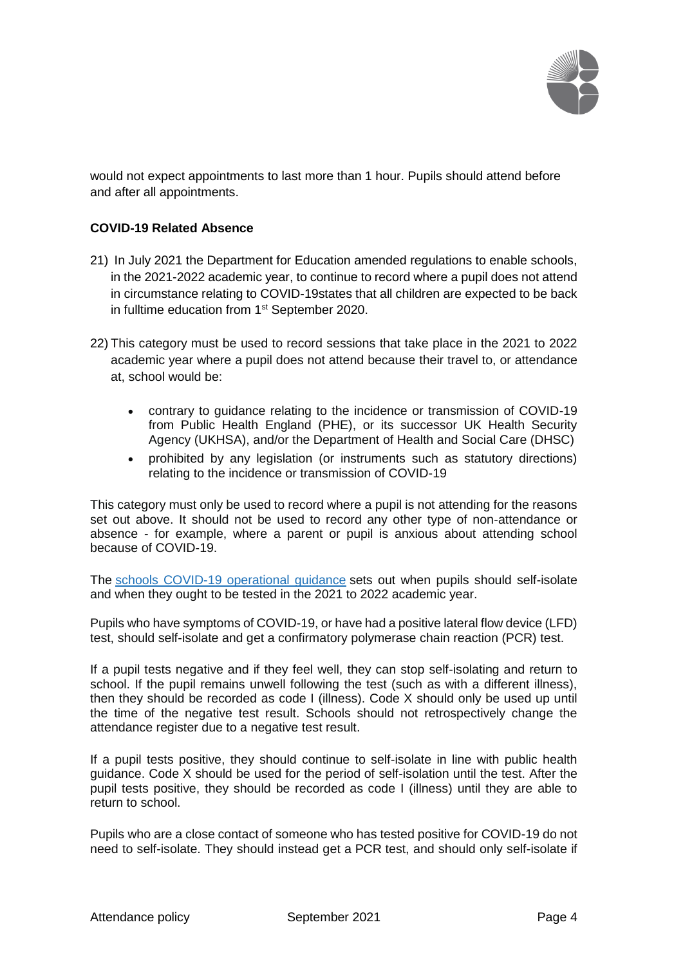

would not expect appointments to last more than 1 hour. Pupils should attend before and after all appointments.

## **COVID-19 Related Absence**

- 21) In July 2021 the Department for Education amended regulations to enable schools, in the 2021-2022 academic year, to continue to record where a pupil does not attend in circumstance relating to COVID-19states that all children are expected to be back in fulltime education from 1<sup>st</sup> September 2020.
- 22) This category must be used to record sessions that take place in the 2021 to 2022 academic year where a pupil does not attend because their travel to, or attendance at, school would be:
	- contrary to guidance relating to the incidence or transmission of COVID-19 from Public Health England (PHE), or its successor UK Health Security Agency (UKHSA), and/or the Department of Health and Social Care (DHSC)
	- prohibited by any legislation (or instruments such as statutory directions) relating to the incidence or transmission of COVID-19

This category must only be used to record where a pupil is not attending for the reasons set out above. It should not be used to record any other type of non-attendance or absence - for example, where a parent or pupil is anxious about attending school because of COVID-19.

The schools COVID-19 [operational](https://www.gov.uk/government/publications/actions-for-schools-during-the-coronavirus-outbreak/schools-covid-19-operational-guidance) guidance sets out when pupils should self-isolate and when they ought to be tested in the 2021 to 2022 academic year.

Pupils who have symptoms of COVID-19, or have had a positive lateral flow device (LFD) test, should self-isolate and get a confirmatory polymerase chain reaction (PCR) test.

If a pupil tests negative and if they feel well, they can stop self-isolating and return to school. If the pupil remains unwell following the test (such as with a different illness), then they should be recorded as code I (illness). Code X should only be used up until the time of the negative test result. Schools should not retrospectively change the attendance register due to a negative test result.

If a pupil tests positive, they should continue to self-isolate in line with public health guidance. Code X should be used for the period of self-isolation until the test. After the pupil tests positive, they should be recorded as code I (illness) until they are able to return to school.

Pupils who are a close contact of someone who has tested positive for COVID-19 do not need to self-isolate. They should instead get a PCR test, and should only self-isolate if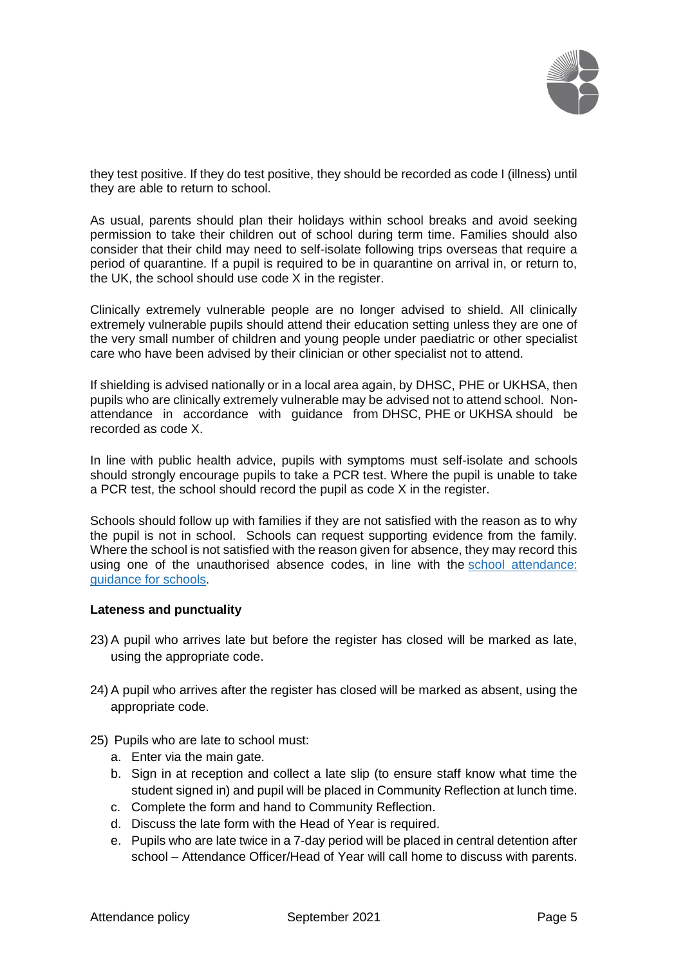

they test positive. If they do test positive, they should be recorded as code I (illness) until they are able to return to school.

As usual, parents should plan their holidays within school breaks and avoid seeking permission to take their children out of school during term time. Families should also consider that their child may need to self-isolate following trips overseas that require a period of quarantine. If a pupil is required to be in quarantine on arrival in, or return to, the UK, the school should use code X in the register.

Clinically extremely vulnerable people are no longer advised to shield. All clinically extremely vulnerable pupils should attend their education setting unless they are one of the very small number of children and young people under paediatric or other specialist care who have been advised by their clinician or other specialist not to attend.

If shielding is advised nationally or in a local area again, by DHSC, PHE or UKHSA, then pupils who are clinically extremely vulnerable may be advised not to attend school. Nonattendance in accordance with guidance from DHSC, PHE or UKHSA should be recorded as code X.

In line with public health advice, pupils with symptoms must self-isolate and schools should strongly encourage pupils to take a PCR test. Where the pupil is unable to take a PCR test, the school should record the pupil as code X in the register.

Schools should follow up with families if they are not satisfied with the reason as to why the pupil is not in school. Schools can request supporting evidence from the family. Where the school is not satisfied with the reason given for absence, they may record this using one of the unauthorised absence codes, in line with the school [attendance:](https://www.gov.uk/government/publications/school-attendance) [guidance](https://www.gov.uk/government/publications/school-attendance) for schools.

#### **Lateness and punctuality**

- 23) A pupil who arrives late but before the register has closed will be marked as late, using the appropriate code.
- 24) A pupil who arrives after the register has closed will be marked as absent, using the appropriate code.
- 25) Pupils who are late to school must:
	- a. Enter via the main gate.
	- b. Sign in at reception and collect a late slip (to ensure staff know what time the student signed in) and pupil will be placed in Community Reflection at lunch time.
	- c. Complete the form and hand to Community Reflection.
	- d. Discuss the late form with the Head of Year is required.
	- e. Pupils who are late twice in a 7-day period will be placed in central detention after school – Attendance Officer/Head of Year will call home to discuss with parents.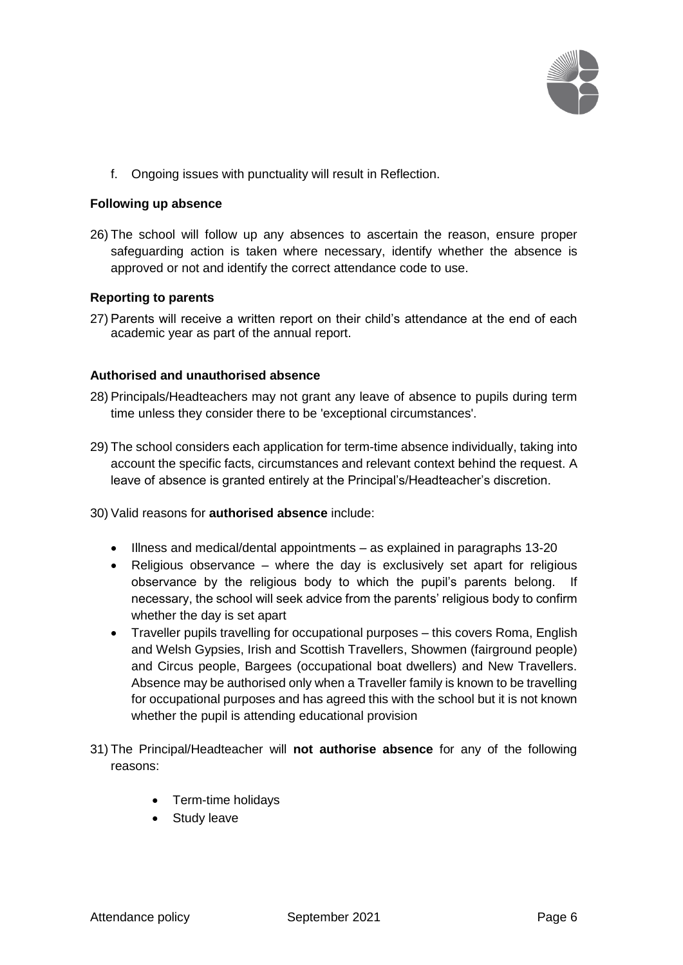

f. Ongoing issues with punctuality will result in Reflection.

#### **Following up absence**

26) The school will follow up any absences to ascertain the reason, ensure proper safeguarding action is taken where necessary, identify whether the absence is approved or not and identify the correct attendance code to use.

#### **Reporting to parents**

27) Parents will receive a written report on their child's attendance at the end of each academic year as part of the annual report.

#### **Authorised and unauthorised absence**

- 28) Principals/Headteachers may not grant any leave of absence to pupils during term time unless they consider there to be 'exceptional circumstances'.
- 29) The school considers each application for term-time absence individually, taking into account the specific facts, circumstances and relevant context behind the request. A leave of absence is granted entirely at the Principal's/Headteacher's discretion.
- 30) Valid reasons for **authorised absence** include:
	- Illness and medical/dental appointments as explained in paragraphs 13-20
	- Religious observance where the day is exclusively set apart for religious observance by the religious body to which the pupil's parents belong. necessary, the school will seek advice from the parents' religious body to confirm whether the day is set apart
	- Traveller pupils travelling for occupational purposes this covers Roma, English and Welsh Gypsies, Irish and Scottish Travellers, Showmen (fairground people) and Circus people, Bargees (occupational boat dwellers) and New Travellers. Absence may be authorised only when a Traveller family is known to be travelling for occupational purposes and has agreed this with the school but it is not known whether the pupil is attending educational provision
- 31) The Principal/Headteacher will **not authorise absence** for any of the following reasons:
	- Term-time holidays
	- Study leave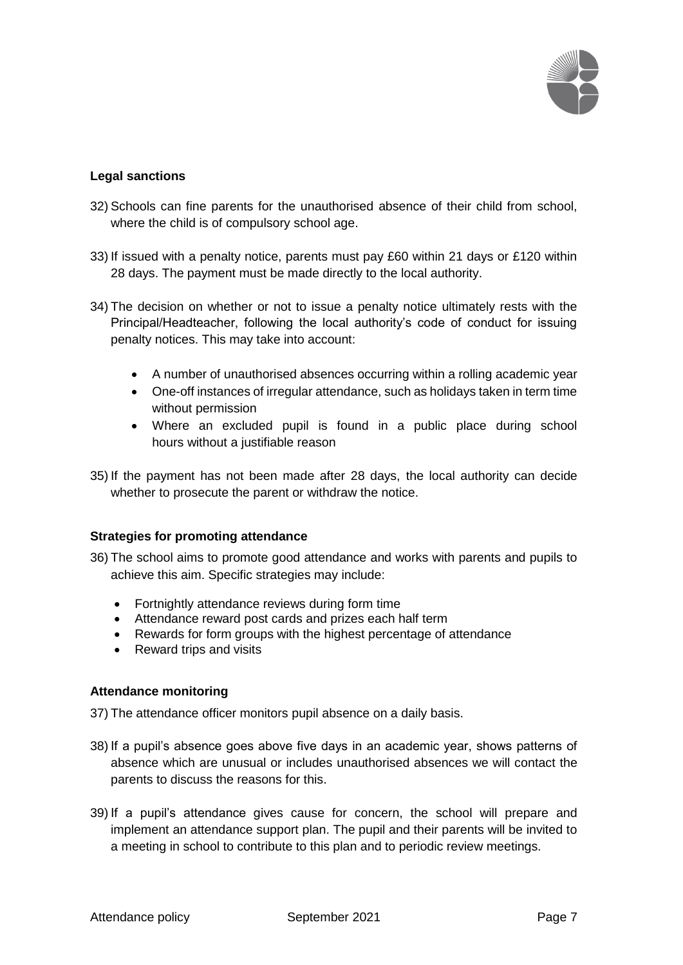

## **Legal sanctions**

- 32) Schools can fine parents for the unauthorised absence of their child from school, where the child is of compulsory school age.
- 33) If issued with a penalty notice, parents must pay £60 within 21 days or £120 within 28 days. The payment must be made directly to the local authority.
- 34) The decision on whether or not to issue a penalty notice ultimately rests with the Principal/Headteacher, following the local authority's code of conduct for issuing penalty notices. This may take into account:
	- A number of unauthorised absences occurring within a rolling academic year
	- One-off instances of irregular attendance, such as holidays taken in term time without permission
	- Where an excluded pupil is found in a public place during school hours without a justifiable reason
- 35) If the payment has not been made after 28 days, the local authority can decide whether to prosecute the parent or withdraw the notice.

## **Strategies for promoting attendance**

- 36) The school aims to promote good attendance and works with parents and pupils to achieve this aim. Specific strategies may include:
	- Fortnightly attendance reviews during form time
	- Attendance reward post cards and prizes each half term
	- Rewards for form groups with the highest percentage of attendance
	- Reward trips and visits

## **Attendance monitoring**

37) The attendance officer monitors pupil absence on a daily basis.

- 38) If a pupil's absence goes above five days in an academic year, shows patterns of absence which are unusual or includes unauthorised absences we will contact the parents to discuss the reasons for this.
- 39) If a pupil's attendance gives cause for concern, the school will prepare and implement an attendance support plan. The pupil and their parents will be invited to a meeting in school to contribute to this plan and to periodic review meetings.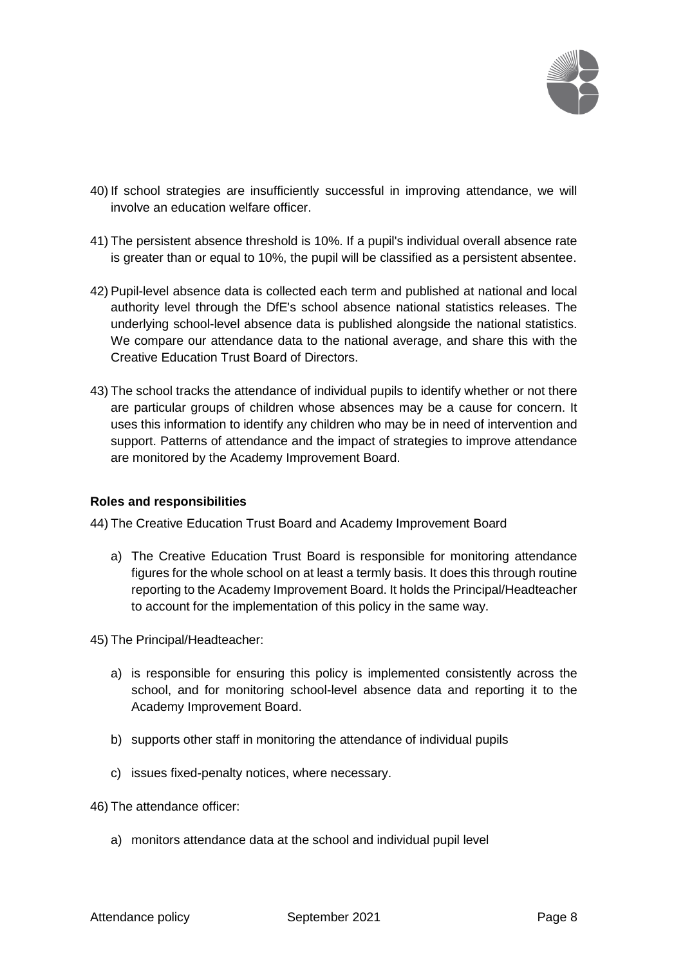

- 40) If school strategies are insufficiently successful in improving attendance, we will involve an education welfare officer.
- 41) The persistent absence threshold is 10%. If a pupil's individual overall absence rate is greater than or equal to 10%, the pupil will be classified as a persistent absentee.
- 42) Pupil-level absence data is collected each term and published at national and local authority level through the DfE's school absence national statistics releases. The underlying school-level absence data is published alongside the national statistics. We compare our attendance data to the national average, and share this with the Creative Education Trust Board of Directors.
- 43) The school tracks the attendance of individual pupils to identify whether or not there are particular groups of children whose absences may be a cause for concern. It uses this information to identify any children who may be in need of intervention and support. Patterns of attendance and the impact of strategies to improve attendance are monitored by the Academy Improvement Board.

## **Roles and responsibilities**

44) The Creative Education Trust Board and Academy Improvement Board

- a) The Creative Education Trust Board is responsible for monitoring attendance figures for the whole school on at least a termly basis. It does this through routine reporting to the Academy Improvement Board. It holds the Principal/Headteacher to account for the implementation of this policy in the same way.
- 45) The Principal/Headteacher:
	- a) is responsible for ensuring this policy is implemented consistently across the school, and for monitoring school-level absence data and reporting it to the Academy Improvement Board.
	- b) supports other staff in monitoring the attendance of individual pupils
	- c) issues fixed-penalty notices, where necessary.
- 46) The attendance officer:
	- a) monitors attendance data at the school and individual pupil level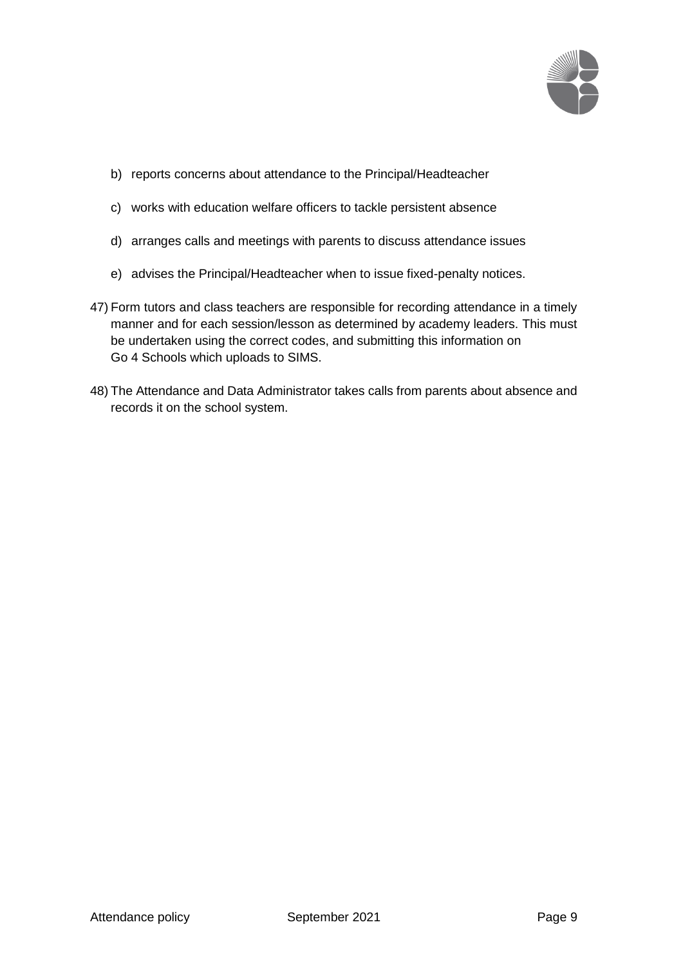

- b) reports concerns about attendance to the Principal/Headteacher
- c) works with education welfare officers to tackle persistent absence
- d) arranges calls and meetings with parents to discuss attendance issues
- e) advises the Principal/Headteacher when to issue fixed-penalty notices.
- 47) Form tutors and class teachers are responsible for recording attendance in a timely manner and for each session/lesson as determined by academy leaders. This must be undertaken using the correct codes, and submitting this information on Go 4 Schools which uploads to SIMS.
- 48) The Attendance and Data Administrator takes calls from parents about absence and records it on the school system.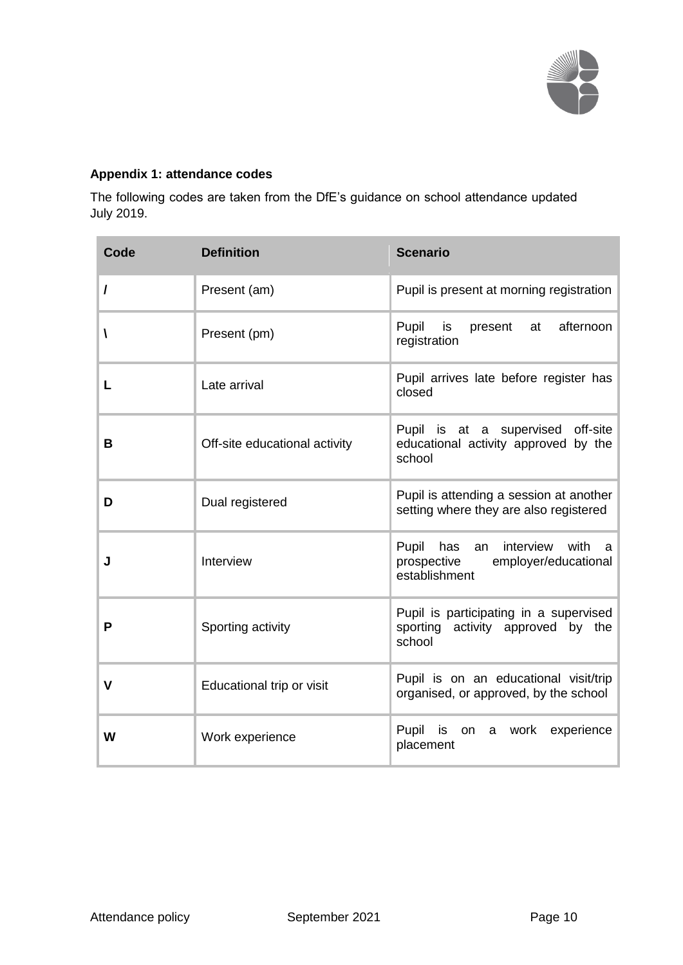

## **Appendix 1: attendance codes**

The following codes are taken from the DfE's guidance on school attendance updated July 2019.

| Code        | <b>Definition</b>             | <b>Scenario</b>                                                                                   |
|-------------|-------------------------------|---------------------------------------------------------------------------------------------------|
| I           | Present (am)                  | Pupil is present at morning registration                                                          |
| A           | Present (pm)                  | Pupil<br>afternoon<br>is<br>present<br>at<br>registration                                         |
| L           | Late arrival                  | Pupil arrives late before register has<br>closed                                                  |
| В           | Off-site educational activity | Pupil is at a supervised off-site<br>educational activity approved by the<br>school               |
| D           | Dual registered               | Pupil is attending a session at another<br>setting where they are also registered                 |
| J           | Interview                     | Pupil<br>has<br>interview with<br>an<br>a<br>prospective<br>employer/educational<br>establishment |
| P           | Sporting activity             | Pupil is participating in a supervised<br>sporting activity approved by the<br>school             |
| $\mathbf v$ | Educational trip or visit     | Pupil is on an educational visit/trip<br>organised, or approved, by the school                    |
| W           | Work experience               | Pupil<br>is<br>on a work<br>experience<br>placement                                               |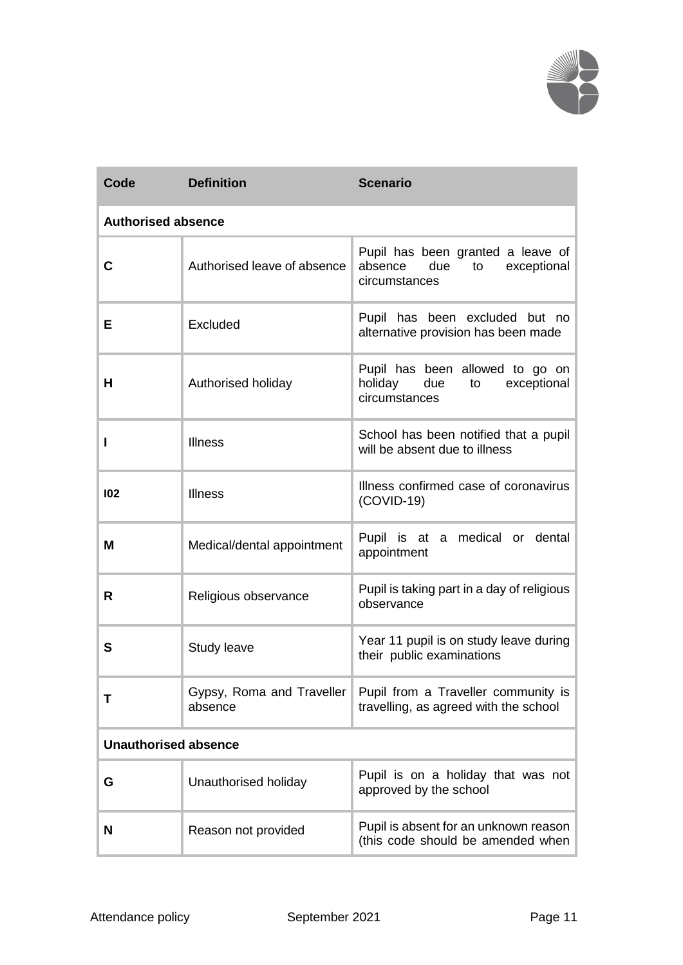

| Code                        | <b>Definition</b>                    | <b>Scenario</b>                                                                           |  |  |
|-----------------------------|--------------------------------------|-------------------------------------------------------------------------------------------|--|--|
| <b>Authorised absence</b>   |                                      |                                                                                           |  |  |
| C                           | Authorised leave of absence          | Pupil has been granted a leave of<br>absence<br>due<br>exceptional<br>to<br>circumstances |  |  |
| Е                           | Excluded                             | Pupil has been excluded but no<br>alternative provision has been made                     |  |  |
| Н                           | Authorised holiday                   | Pupil has been allowed to go on<br>holiday due<br>to<br>exceptional<br>circumstances      |  |  |
| ı                           | <b>Illness</b>                       | School has been notified that a pupil<br>will be absent due to illness                    |  |  |
| 102                         | <b>Illness</b>                       | Illness confirmed case of coronavirus<br>$(COVID-19)$                                     |  |  |
| M                           | Medical/dental appointment           | Pupil is at a medical or dental<br>appointment                                            |  |  |
| R                           | Religious observance                 | Pupil is taking part in a day of religious<br>observance                                  |  |  |
| S                           | Study leave                          | Year 11 pupil is on study leave during<br>their public examinations                       |  |  |
| т                           | Gypsy, Roma and Traveller<br>absence | Pupil from a Traveller community is<br>travelling, as agreed with the school              |  |  |
| <b>Unauthorised absence</b> |                                      |                                                                                           |  |  |
| G                           | Unauthorised holiday                 | Pupil is on a holiday that was not<br>approved by the school                              |  |  |
| N                           | Reason not provided                  | Pupil is absent for an unknown reason<br>(this code should be amended when                |  |  |